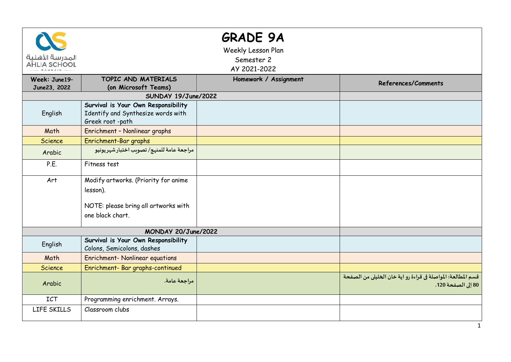| المدرسة الأهلية<br><b>AHLIA SCHOOL</b> |                                                                                                              | <b>GRADE 9A</b><br>Weekly Lesson Plan<br>Semester 2<br>AY 2021-2022 |                                                                                    |  |  |  |
|----------------------------------------|--------------------------------------------------------------------------------------------------------------|---------------------------------------------------------------------|------------------------------------------------------------------------------------|--|--|--|
| Week: June19-<br>June23, 2022          | TOPIC AND MATERIALS<br>(on Microsoft Teams)                                                                  | Homework / Assignment                                               | References/Comments                                                                |  |  |  |
|                                        | SUNDAY 19/June/2022                                                                                          |                                                                     |                                                                                    |  |  |  |
| English                                | Survival is Your Own Responsibility<br>Identify and Synthesize words with<br>Greek root-path                 |                                                                     |                                                                                    |  |  |  |
| Math                                   | Enrichment - Nonlinear graphs                                                                                |                                                                     |                                                                                    |  |  |  |
| <b>Science</b>                         | Enrichment-Bar graphs                                                                                        |                                                                     |                                                                                    |  |  |  |
| Arabic                                 | مراجعة عامة للمنهج/ تصويب اختبار شهريونيو                                                                    |                                                                     |                                                                                    |  |  |  |
| P.E.                                   | Fitness test                                                                                                 |                                                                     |                                                                                    |  |  |  |
| Art                                    | Modify artworks. (Priority for anime<br>lesson).<br>NOTE: please bring all artworks with<br>one black chart. |                                                                     |                                                                                    |  |  |  |
| MONDAY 20/June/2022                    |                                                                                                              |                                                                     |                                                                                    |  |  |  |
| English                                | Survival is Your Own Responsibility<br>Colons, Semicolons, dashes                                            |                                                                     |                                                                                    |  |  |  |
| Math                                   | Enrichment- Nonlinear equations                                                                              |                                                                     |                                                                                    |  |  |  |
| Science                                | Enrichment- Bar graphs-continued                                                                             |                                                                     |                                                                                    |  |  |  |
| Arabic                                 | مراجعة عامة.                                                                                                 |                                                                     | قسم المطالعة: المواصلة في قراءة رو اية خان الخليلي من الصفحة<br>80 إلى الصفحة 120. |  |  |  |
| <b>ICT</b>                             | Programming enrichment. Arrays.                                                                              |                                                                     |                                                                                    |  |  |  |
| LIFE SKILLS                            | Classroom clubs                                                                                              |                                                                     |                                                                                    |  |  |  |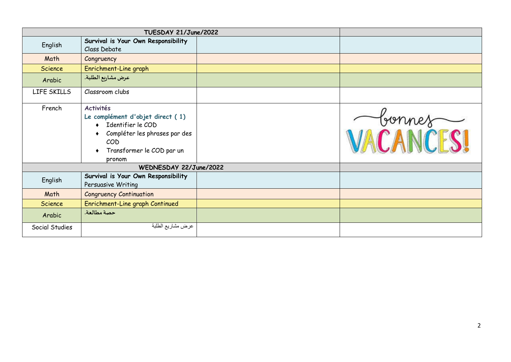| TUESDAY 21/June/2022   |                                                                                                                                                          |  |        |  |
|------------------------|----------------------------------------------------------------------------------------------------------------------------------------------------------|--|--------|--|
| English                | Survival is Your Own Responsibility<br>Class Debate                                                                                                      |  |        |  |
| Math                   | Congruency                                                                                                                                               |  |        |  |
| <b>Science</b>         | Enrichment-Line graph                                                                                                                                    |  |        |  |
| Arabic                 | عرض مشاريع الطلبة.                                                                                                                                       |  |        |  |
| LIFE SKILLS            | Classroom clubs                                                                                                                                          |  |        |  |
| French                 | <b>Activités</b><br>Le complément d'objet direct (1)<br>Identifier le COD<br>Compléter les phrases par des<br>COD<br>Transformer le COD par un<br>pronom |  | Connes |  |
| WEDNESDAY 22/June/2022 |                                                                                                                                                          |  |        |  |
| English                | Survival is Your Own Responsibility<br>Persuasive Writing                                                                                                |  |        |  |
| Math                   | <b>Congruency Continuation</b>                                                                                                                           |  |        |  |
| <b>Science</b>         | Enrichment-Line graph Continued                                                                                                                          |  |        |  |
| Arabic                 | حصة مطالعة.                                                                                                                                              |  |        |  |
| Social Studies         | عرض مشاريع الطلبة                                                                                                                                        |  |        |  |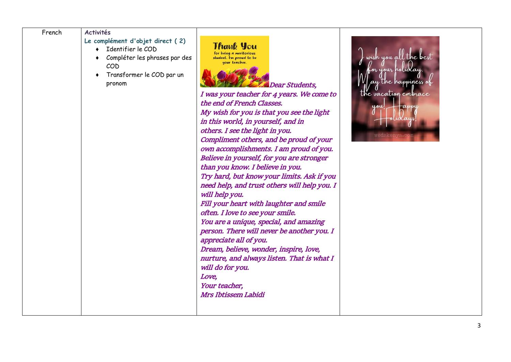| French | <b>Activités</b>                                                                                                                          |                                                                                                                                                                                                                                                                                                                                                                                                                                                                                                                                                                                                                                                                                                                                                                                                                                                                                                                                                            |                                                                                                       |
|--------|-------------------------------------------------------------------------------------------------------------------------------------------|------------------------------------------------------------------------------------------------------------------------------------------------------------------------------------------------------------------------------------------------------------------------------------------------------------------------------------------------------------------------------------------------------------------------------------------------------------------------------------------------------------------------------------------------------------------------------------------------------------------------------------------------------------------------------------------------------------------------------------------------------------------------------------------------------------------------------------------------------------------------------------------------------------------------------------------------------------|-------------------------------------------------------------------------------------------------------|
|        | Le complément d'objet direct (2)<br>Identifier le COD<br>Compléter les phrases par des<br>COD<br>Transformer le COD par un<br>٠<br>pronom | Thauk You<br>for being a meritorious<br>student. I'm proud to be<br>your teacher.<br>Dear Students,<br>I was your teacher for 4 years. We come to<br>the end of French Classes.<br>My wish for you is that you see the light<br>in this world, in yourself, and in<br>others. I see the light in you.<br>Compliment others, and be proud of your<br>own accomplishments. I am proud of you.<br>Believe in yourself, for you are stronger<br>than you know. I believe in you.<br>Try hard, but know your limits. Ask if you<br>need help, and trust others will help you. I<br>will help you.<br>Fill your heart with laughter and smile<br>often. I love to see your smile.<br>You are a unique, special, and amazing<br>person. There will never be another you. I<br>appreciate all of you.<br>Dream, believe, wonder, inspire, love,<br>nurture, and always listen. That is what I<br>will do for you.<br>Love,<br>Your teacher,<br>Mrs Ibtissem Labidi | ll the best<br>wish you a<br>or your holiday<br>ay the happiness<br>the vacation embrace<br>you<br>an |